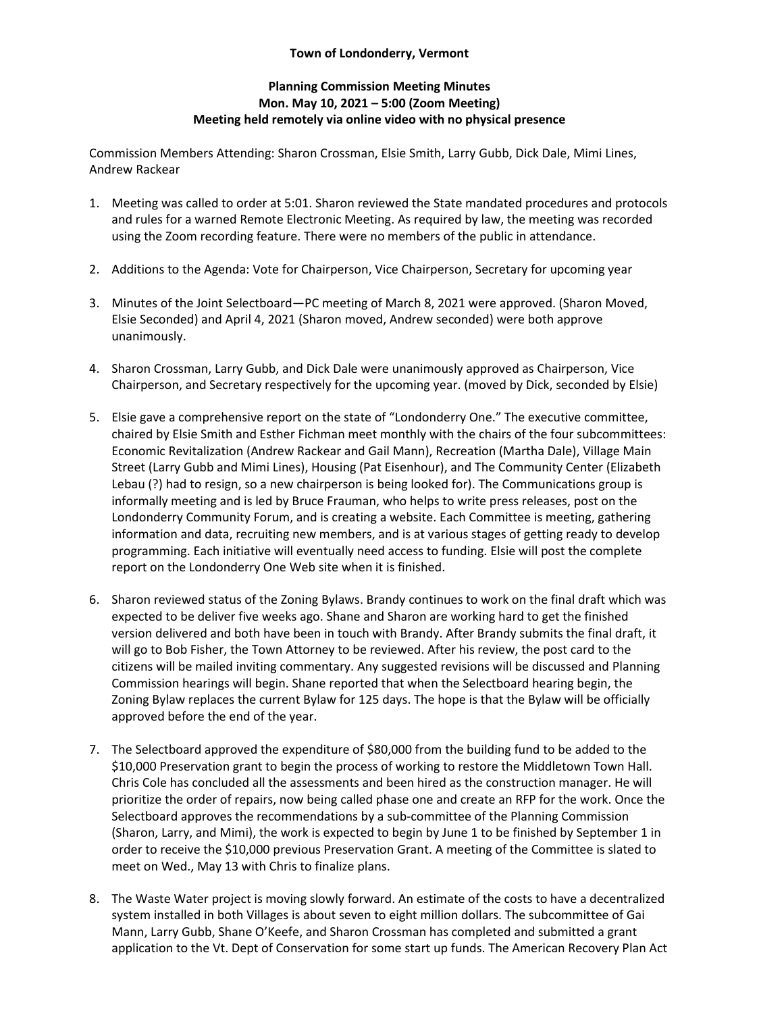## **Town of Londonderry, Vermont**

## **Planning Commission Meeting Minutes Mon. May 10, 2021 – 5:00 (Zoom Meeting) Meeting held remotely via online video with no physical presence**

Commission Members Attending: Sharon Crossman, Elsie Smith, Larry Gubb, Dick Dale, Mimi Lines, Andrew Rackear

- 1. Meeting was called to order at 5:01. Sharon reviewed the State mandated procedures and protocols and rules for a warned Remote Electronic Meeting. As required by law, the meeting was recorded using the Zoom recording feature. There were no members of the public in attendance.
- 2. Additions to the Agenda: Vote for Chairperson, Vice Chairperson, Secretary for upcoming year
- 3. Minutes of the Joint Selectboard—PC meeting of March 8, 2021 were approved. (Sharon Moved, Elsie Seconded) and April 4, 2021 (Sharon moved, Andrew seconded) were both approve unanimously.
- 4. Sharon Crossman, Larry Gubb, and Dick Dale were unanimously approved as Chairperson, Vice Chairperson, and Secretary respectively for the upcoming year. (moved by Dick, seconded by Elsie)
- 5. Elsie gave a comprehensive report on the state of "Londonderry One." The executive committee, chaired by Elsie Smith and Esther Fichman meet monthly with the chairs of the four subcommittees: Economic Revitalization (Andrew Rackear and Gail Mann), Recreation (Martha Dale), Village Main Street (Larry Gubb and Mimi Lines), Housing (Pat Eisenhour), and The Community Center (Elizabeth Lebau (?) had to resign, so a new chairperson is being looked for). The Communications group is informally meeting and is led by Bruce Frauman, who helps to write press releases, post on the Londonderry Community Forum, and is creating a website. Each Committee is meeting, gathering information and data, recruiting new members, and is at various stages of getting ready to develop programming. Each initiative will eventually need access to funding. Elsie will post the complete report on the Londonderry One Web site when it is finished.
- 6. Sharon reviewed status of the Zoning Bylaws. Brandy continues to work on the final draft which was expected to be deliver five weeks ago. Shane and Sharon are working hard to get the finished version delivered and both have been in touch with Brandy. After Brandy submits the final draft, it will go to Bob Fisher, the Town Attorney to be reviewed. After his review, the post card to the citizens will be mailed inviting commentary. Any suggested revisions will be discussed and Planning Commission hearings will begin. Shane reported that when the Selectboard hearing begin, the Zoning Bylaw replaces the current Bylaw for 125 days. The hope is that the Bylaw will be officially approved before the end of the year.
- 7. The Selectboard approved the expenditure of \$80,000 from the building fund to be added to the \$10,000 Preservation grant to begin the process of working to restore the Middletown Town Hall. Chris Cole has concluded all the assessments and been hired as the construction manager. He will prioritize the order of repairs, now being called phase one and create an RFP for the work. Once the Selectboard approves the recommendations by a sub-committee of the Planning Commission (Sharon, Larry, and Mimi), the work is expected to begin by June 1 to be finished by September 1 in order to receive the \$10,000 previous Preservation Grant. A meeting of the Committee is slated to meet on Wed., May 13 with Chris to finalize plans.
- 8. The Waste Water project is moving slowly forward. An estimate of the costs to have a decentralized system installed in both Villages is about seven to eight million dollars. The subcommittee of Gai Mann, Larry Gubb, Shane O'Keefe, and Sharon Crossman has completed and submitted a grant application to the Vt. Dept of Conservation for some start up funds. The American Recovery Plan Act